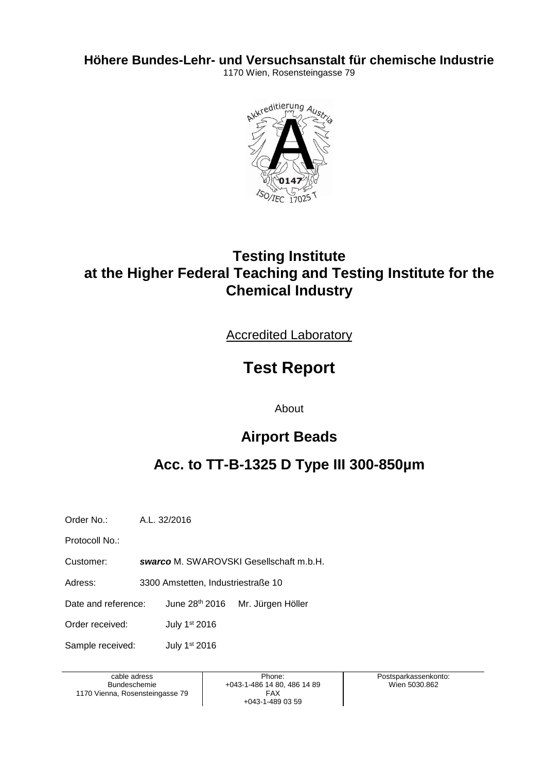**Höhere Bundes-Lehr- und Versuchsanstalt für chemische Industrie**

1170 Wien, Rosensteingasse 79



# **Testing Institute at the Higher Federal Teaching and Testing Institute for the Chemical Industry**

Accredited Laboratory

# **Test Report**

About

## **Airport Beads**

# **Acc. to TT-B-1325 D Type III 300-850µm**

Order No.: A.L. 32/2016

Protocoll No.:

Customer: *swarco* M. SWAROVSKI Gesellschaft m.b.H.

Adress: 3300 Amstetten, Industriestraße 10

Date and reference: June 28th 2016 Mr. Jürgen Höller

Order received: July 1<sup>st</sup> 2016

Sample received: July 1<sup>st</sup> 2016

cable adress Bundeschemie 1170 Vienna, Rosensteingasse 79

Phone: +043-1-486 14 80, 486 14 89 FAX +043-1-489 03 59

Postsparkassenkonto: Wien 5030.862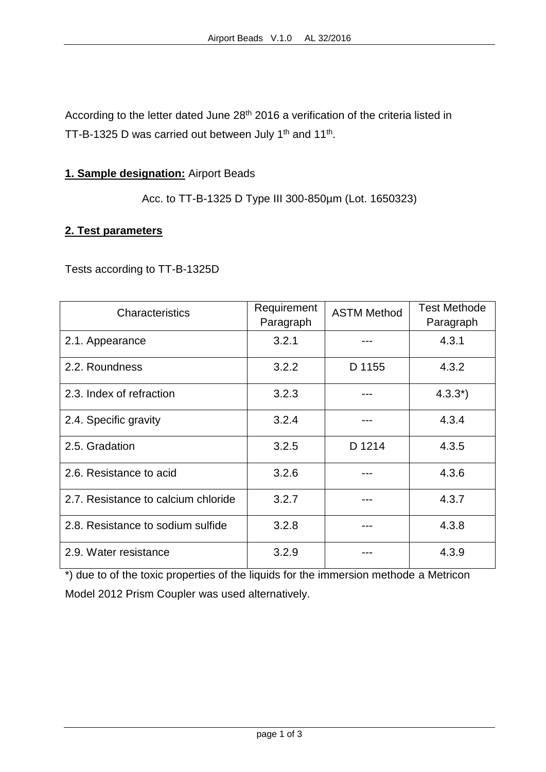According to the letter dated June 28<sup>th</sup> 2016 a verification of the criteria listed in TT-B-1325 D was carried out between July 1<sup>th</sup> and 11<sup>th</sup>.

### **1. Sample designation:** Airport Beads

Acc. to TT-B-1325 D Type III 300-850µm (Lot. 1650323)

#### **2. Test parameters**

Tests according to TT-B-1325D

| Characteristics                     | Requirement<br>Paragraph | <b>ASTM Method</b> | <b>Test Methode</b><br>Paragraph |
|-------------------------------------|--------------------------|--------------------|----------------------------------|
| 2.1. Appearance                     | 3.2.1                    |                    | 4.3.1                            |
| 2.2. Roundness                      | 3.2.2                    | D 1155             | 4.3.2                            |
| 2.3. Index of refraction            | 3.2.3                    |                    | $4.3.3^{*}$                      |
| 2.4. Specific gravity               | 3.2.4                    |                    | 4.3.4                            |
| 2.5. Gradation                      | 3.2.5                    | D 1214             | 4.3.5                            |
| 2.6. Resistance to acid             | 3.2.6                    |                    | 4.3.6                            |
| 2.7. Resistance to calcium chloride | 3.2.7                    |                    | 4.3.7                            |
| 2.8. Resistance to sodium sulfide   | 3.2.8                    |                    | 4.3.8                            |
| 2.9. Water resistance               | 3.2.9                    |                    | 4.3.9                            |

\*) due to of the toxic properties of the liquids for the immersion methode a Metricon Model 2012 Prism Coupler was used alternatively.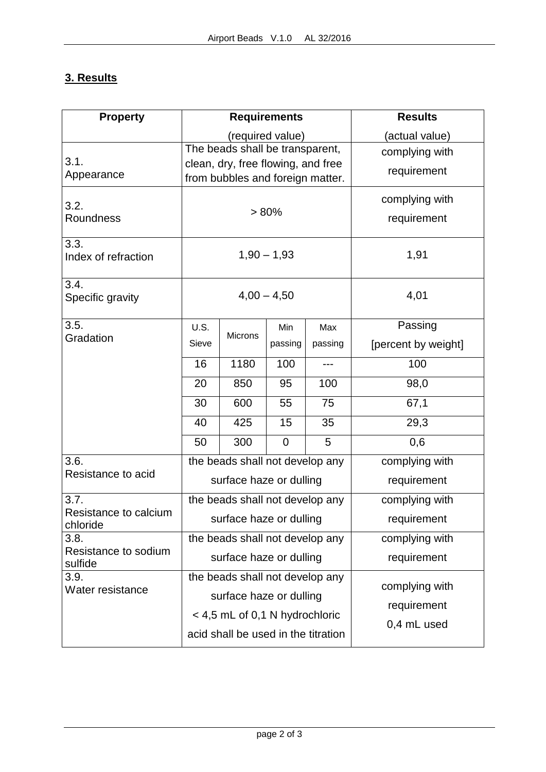### **3. Results**

| <b>Property</b>                   | <b>Requirements</b>                 |                                                                        |                |                | <b>Results</b>             |  |
|-----------------------------------|-------------------------------------|------------------------------------------------------------------------|----------------|----------------|----------------------------|--|
|                                   | (required value)                    |                                                                        |                |                | (actual value)             |  |
| 3.1.                              |                                     | The beads shall be transparent,                                        |                | complying with |                            |  |
| Appearance                        |                                     | clean, dry, free flowing, and free<br>from bubbles and foreign matter. |                | requirement    |                            |  |
|                                   |                                     |                                                                        |                | complying with |                            |  |
| 3.2.                              | > 80%                               |                                                                        |                |                |                            |  |
| Roundness                         |                                     |                                                                        |                | requirement    |                            |  |
| 3.3.                              |                                     |                                                                        |                |                |                            |  |
| Index of refraction               | $1,90 - 1,93$                       |                                                                        |                |                | 1,91                       |  |
| 3.4.                              |                                     |                                                                        |                | 4,01           |                            |  |
| Specific gravity                  |                                     | $4,00 - 4,50$                                                          |                |                |                            |  |
| 3.5.<br>Gradation                 | U.S.                                | Microns                                                                | Min            | Max            | Passing                    |  |
|                                   | Sieve                               |                                                                        | passing        | passing        | [percent by weight]        |  |
|                                   | 16                                  | 1180                                                                   | 100            | $---$          | 100                        |  |
|                                   | 20                                  | 850                                                                    | 95             | 100            | 98,0                       |  |
|                                   | 30                                  | 600                                                                    | 55             | 75             | 67,1                       |  |
|                                   | 40                                  | 425                                                                    | 15             | 35             | 29,3                       |  |
|                                   | 50                                  | 300                                                                    | $\overline{0}$ | 5              | 0,6                        |  |
| 3.6.                              | the beads shall not develop any     |                                                                        |                |                | complying with             |  |
| Resistance to acid                | surface haze or dulling             |                                                                        |                |                | requirement                |  |
| 3.7.                              |                                     | the beads shall not develop any                                        |                | complying with |                            |  |
| Resistance to calcium<br>chloride | surface haze or dulling             |                                                                        |                |                | requirement                |  |
| 3.8.                              |                                     | the beads shall not develop any                                        |                | complying with |                            |  |
| Resistance to sodium<br>sulfide   | surface haze or dulling             |                                                                        |                |                | requirement                |  |
| 3.9.<br>Water resistance          | the beads shall not develop any     |                                                                        |                |                | complying with             |  |
|                                   | surface haze or dulling             |                                                                        |                |                |                            |  |
|                                   | < 4,5 mL of 0,1 N hydrochloric      |                                                                        |                |                | requirement<br>0,4 mL used |  |
|                                   | acid shall be used in the titration |                                                                        |                |                |                            |  |